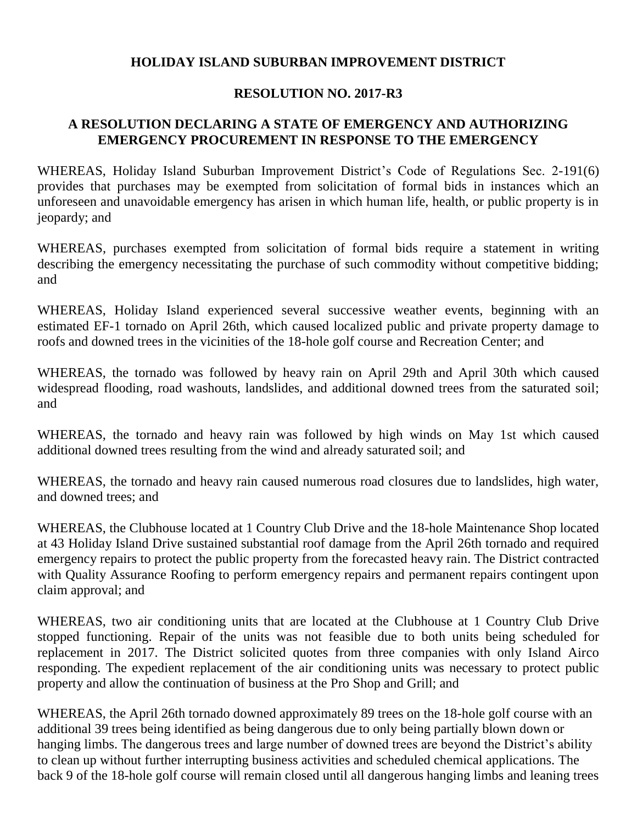## **HOLIDAY ISLAND SUBURBAN IMPROVEMENT DISTRICT**

## **RESOLUTION NO. 2017-R3**

## **A RESOLUTION DECLARING A STATE OF EMERGENCY AND AUTHORIZING EMERGENCY PROCUREMENT IN RESPONSE TO THE EMERGENCY**

WHEREAS, Holiday Island Suburban Improvement District's Code of Regulations Sec. 2-191(6) provides that purchases may be exempted from solicitation of formal bids in instances which an unforeseen and unavoidable emergency has arisen in which human life, health, or public property is in jeopardy; and

WHEREAS, purchases exempted from solicitation of formal bids require a statement in writing describing the emergency necessitating the purchase of such commodity without competitive bidding; and

WHEREAS, Holiday Island experienced several successive weather events, beginning with an estimated EF-1 tornado on April 26th, which caused localized public and private property damage to roofs and downed trees in the vicinities of the 18-hole golf course and Recreation Center; and

WHEREAS, the tornado was followed by heavy rain on April 29th and April 30th which caused widespread flooding, road washouts, landslides, and additional downed trees from the saturated soil; and

WHEREAS, the tornado and heavy rain was followed by high winds on May 1st which caused additional downed trees resulting from the wind and already saturated soil; and

WHEREAS, the tornado and heavy rain caused numerous road closures due to landslides, high water, and downed trees; and

WHEREAS, the Clubhouse located at 1 Country Club Drive and the 18-hole Maintenance Shop located at 43 Holiday Island Drive sustained substantial roof damage from the April 26th tornado and required emergency repairs to protect the public property from the forecasted heavy rain. The District contracted with Quality Assurance Roofing to perform emergency repairs and permanent repairs contingent upon claim approval; and

WHEREAS, two air conditioning units that are located at the Clubhouse at 1 Country Club Drive stopped functioning. Repair of the units was not feasible due to both units being scheduled for replacement in 2017. The District solicited quotes from three companies with only Island Airco responding. The expedient replacement of the air conditioning units was necessary to protect public property and allow the continuation of business at the Pro Shop and Grill; and

WHEREAS, the April 26th tornado downed approximately 89 trees on the 18-hole golf course with an additional 39 trees being identified as being dangerous due to only being partially blown down or hanging limbs. The dangerous trees and large number of downed trees are beyond the District's ability to clean up without further interrupting business activities and scheduled chemical applications. The back 9 of the 18-hole golf course will remain closed until all dangerous hanging limbs and leaning trees